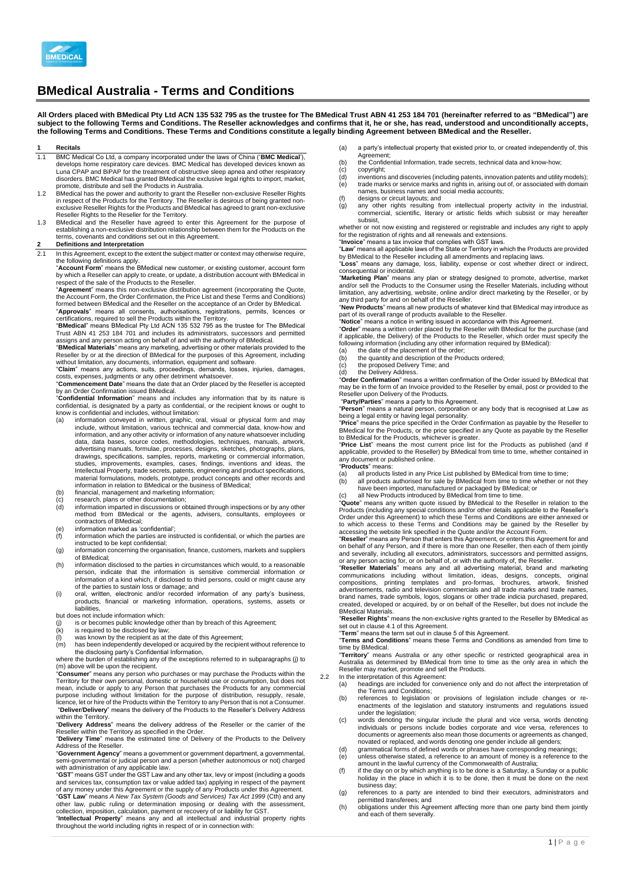

# **BMedical Australia - Terms and Conditions**

**All Orders placed with BMedical Pty Ltd ACN 135 532 795 as the trustee for The BMedical Trust ABN 41 253 184 701 (hereinafter referred to as "BMedical") are subject to the following Terms and Conditions. The Reseller acknowledges and confirms that it, he or she, has read, understood and unconditionally accepts, the following Terms and Conditions. These Terms and Conditions constitute a legally binding Agreement between BMedical and the Reseller.** 

#### **1 Recitals**

- 1.1 BMC Medical Co Ltd, a company incorporated under the laws of China ('**BMC Medical**'),<br>develops home respiratory care devices. BMC Medical has developed devices known as<br>Luna CPAP and BiPAP for the treatment of obstruct disorders. BMC Medical has granted BMedical the exclusive legal rights to import, market, promote, distribute and sell the Products in Australia.
- 1.2 BMedical has the power and authority to grant the Reseller non-exclusive Reseller Rights in respect of the Products for the Territory. The Reseller is desirous of being granted nonexclusive Reseller Rights for the Products and BMedical has agreed to grant non-exclusive<br>Reseller Rights to the Reseller for the Territory.<br>1.3 BMedical and the Reseller have agreed to enter this Agreement for the purpose
- establishing a non-exclusive distribution relationship between them for the Products on the terms, covenants and conditions set out in this Agreement.

# **2 Definitions and Interpretation**<br>21 In this Agreement except to the

In this Agreement, except to the extent the subject matter or context may otherwise require,

the following definitions apply.<br>"**Account Form**" means the BMedical new customer, or existing customer, account form<br>by which a Reseller can apply to create, or update, a distribution account with BMedical in spect of the sale of the Products to the Reseller.

"**Agreement**" means this non-exclusive distribution agreement (incorporating the Quote, the Account Form, the Order Confirmation, the Price List and these Terms and Conditions) formed between BMedical and the Reseller on the acceptance of an Order by BMedical. "**Approvals**" means all consents, authorisations, registrations, permits, licences or certifications, required to sell the Products within the Territory.

"**BMedical**" means BMedical Pty Ltd ACN 135 532 795 as the trustee for The BMedical Trust ABN 41 253 184 701 and includes its administrators, successors and permitted

assigns and any person acting on behalf of and with the authority of BMedical. "**BMedical Materials**" means any marketing, advertising or other materials provided to the Reseller by or at the direction of BMedical for the purposes of this Agreement, including without limitation, any documents, information, equipment and software.

"**Claim**" means any actions, suits, proceedings, demands, losses, injuries, damages, costs, expenses, judgments or any other detriment whatsoever.

"**Commencement Date**" means the date that an Order placed by the Reseller is accepted

by an Order Confirmation issued BMedical. "**Confidential Information**" means and includes any information that by its nature is confidential, is designated by a party as confidential, or the recipient knows or ought to know is confidential and includes, without limitation:

- (a) information conveyed in written, graphic, oral, visual or physical form and may include, without limitation, various technical and commercial data, know-how and information, and any other activity or information of any nature whatsoever including data, data bases, source codes, methodologies, techniques, manuals, artwork, advertising manuals, formulae, processes, designs, sketches, photographs, plans,<br>drawings, specifications, samples, reports, marketing or commercial information,<br>studies, improvements, examples, cases, findings, inventions information in relation to BMedical or the business of BMedical;
- 
- (b) financial, management and marketing information;<br>
(c) research, plans or other documentation;<br>
(d) information imparted in discussions or obtained thr (c) research, plans or other documentation; (d) information imparted in discussions or obtained through inspections or by any other method from BMedical or the agents, advisers, consultants, employees or
- contractors of BMedical;
- (e) information marked as 'confidential'<br>(f) information which the parties are ins
- Information which the parties are instructed is confidential, or which the parties are instructed to be kept confidential;
- (g) information concerning the organisation, finance, customers, markets and suppliers of BMedical;
- (h) information disclosed to the parties in circumstances which would, to a reasonable person, indicate that the information is sensitive commercial information or information of a kind which, if disclosed to third persons, could or might cause any of the parties to sustain loss or damage; and
- (i) oral, written, electronic and/or recorded information of any party's business, products, financial or marketing information, operations, systems, assets or liabilities

but does not include information which:<br>(i) is or becomes public knowledge

is or becomes public knowledge other than by breach of this Agreement;

- 
- 

(k) is required to be disclosed by law;<br>
(l) was known by the recipient as at the date of this Agreement;<br>
(m) has been independently developed or acquired by the recipient without reference to<br>
the disclosing party's Con

(m) above will be upon the recipient.

"Consumer" means any person who purchases or may purchase the Products within the<br>Territory for their own personal, domestic or household use or consumption, but does not<br>mean, include or apply to any Person that purchases "**Deliver**/**Delivery**" means the delivery of the Products to the Reseller's Delivery Address within the Territory.

"**Delivery Address**" means the delivery address of the Reseller or the carrier of the Reseller within the Territory as specified in the Order.

"**Delivery Time**" means the estimated time of Delivery of the Products to the Delivery Address of the Reseller.

"**Government Agency**" means a government or government department, a governmental, semi-governmental or judicial person and a person (whether autonomous or not) charged

with administration of any applicable law. "**GST**" means GST under the GST Law and any other tax, levy or impost (including a goods and services tax, consumption tax or value added tax) applying in respect of the payment of any money under this Agreement or the supply of any Products under this Agreement.

"GST Law" means A New Tax System (Goods and Services) Tax Act 1999 (Cth) and any<br>other law, public ruling or determination imposing or dealing with the assessment,<br>collection, imposition, calculation, payment or recovery o

- (a) a party's intellectual property that existed prior to, or created independently of, this
- Agreement;
- (b) the Confidential Information, trade secrets, technical data and know-how;<br>(c) convright: (c) copyright;
	-
- (d) inventions and discoveries (including patents, innovation patents and utility models);<br>(e) trade marks or service marks and rights in, arising out of, or associated with domain (e) trade marks or service marks and rights in, arising out of, or associated with domain names, business names and social media accounts;
- 
- (f) designs or circuit layouts; and<br>(g) any other rights resulting from other rights resulting from intellectual property activity in the industrial, commercial, scientific, literary or artistic fields which subsist or may hereafter subsist,

whether or not now existing and registered or registrable and includes any right to apply for the registration of rights and all renewals and extensions. "**Invoice**" means a tax invoice that complies with GST laws.

"**Law**" means all applicable laws of the State or Territory in which the Products are provided by BMedical to the Reseller including all amendments and replacing laws. "**Loss**" means any damage, loss, liability, expense or cost whether direct or indirect, consequential or incidental.

"**Marketing Plan**" means any plan or strategy designed to promote, advertise, market and/or sell the Products to the Consumer using the Reseller Materials, including without limitation, any advertising, website, online and/or direct marketing by the Reseller, or by<br>any third party for and on behalf of the Reseller.<br>"**New Products**" means all new products of whatever kind that BMedical may intr

part of its overall range of products available to the Reseller.

"**Notice**" means a notice in writing issued in accordance with this Agreement.

"**Order**" means a written order placed by the Reseller with BMedical for the purchase (and if applicable, the Delivery) of the Products to the Reseller, which order must specify the following information (including any other information required by BMedical): (a) the date of the placement of the order;

- 
- (b) the quantity and description of the Products ordered; (c) the proposed Delivery Time; and
- (d) the Delivery Address.

"**Order Confirmation**" means a written confirmation of the Order issued by BMedical that may be in the form of an Invoice provided to the Reseller by email, post or provided to the Reseller upon Delivery of the Products.

"**Party/Parties**" means a party to this Agreement.

"**Person**" means a natural person, corporation or any body that is recognised at Law as<br>being a legal entity or having legal personality.<br>"**Price**" means the price specified in the Order Confirmation as payable by the Rese

BMedical for the Products, or the price specified in any Quote as payable by the Reseller

to BMedical for the Products, whichever is greater.<br>"**Price List**" means the most current price list for the Products as published (and if apricable, provided to the Reseller) by BMedical from time to time, whether contain

"**Products**" means:

- (a) all products listed in any Price List published by BMedical from time to time; (b) all products authorised for sale by BMedical from time to time whether or not they
- 
- have been imported, manufactured or packaged by BMedical; or (c) all New Products introduced by BMedical from time to time.

"**Quote**" means any written quote issued by BMedical to the Reseller in relation to the Products (including any special conditions and/or other details applicable to the Reseller's Order under this Agreement) to which these Terms and Conditions are either annexed or to which access to these Terms and Conditions may be gained by the Reseller by

accessing the website link specified in the Quote and/or the Account Form.<br>"**Reseller**" means any Person that enters this Agreement, or enters this Agreement for and on behalf of any Person, and if there is more than one Reseller, then each of them jointly and severally, including all executors, administrators, successors and permitted assigns, or any person acting for, or on behalf of, or with the authority of, the Reseller.

"**Reseller Materials**" means any and all advertising material, brand and marketing communications including without limitation, ideas, designs, concepts, original<br>compositions, printing templates and pro-formas, brochures, artwork, finished<br>advertisements,radio.and.television.commercials.and.all.trade.ma brand names, trade symbols, logos, slogans or other trade indicia purchased, prepared, created, developed or acquired, by or on behalf of the Reseller, but does not include the BMedical Materials.

"**Reseller Rights**" means the non-exclusive rights granted to the Reseller by BMedical as set out in clause 4.1 of this Agreement.

"**Term**" means the term set out in clause 5 of this Agreement. "**Terms and Conditions**" means these Terms and Conditions as amended from time to time by BMedical.

"**Territory**" means Australia or any other specific or restricted geographical area in<br>Australia as determined by BMedical from time to time as the only area in which the<br>Reseller may market, promote and sell the Products.

- 
- 2.2 In the interpretation of this Agreement: (a) headings are included for convenience only and do not affect the interpretation of
	- the Terms and Conditions; (b) references to legislation or provisions of legislation include changes or re-enactments of the legislation and statutory instruments and regulations issued under the legislation;
	- (c) words denoting the singular include the plural and vice versa, words denoting individuals or persons include bodies corporate and vice versa, references to documents or agreements also mean those documents or agreements as changed, novated or replaced, and words denoting one gender include all genders;
	- (d) grammatical forms of defined words or phrases have corresponding meanings;<br>(e) unless otherwise stated, a reference to an amount of money is a reference to
	- (e) unless otherwise stated, a reference to an amount of money is a reference to the amount in the lawful currency of the Commonwealth of Australia;
	- (f) if the day on or by which anything is to be done is a Saturday, a Sunday or a public holiday in the place in which it is to be done, then it must be done on the next business day; (g) references to a party are intended to bind their executors, administrators and
	- permitted transferees; and
	- (h) obligations under this Agreement affecting more than one party bind them jointly and each of them severally.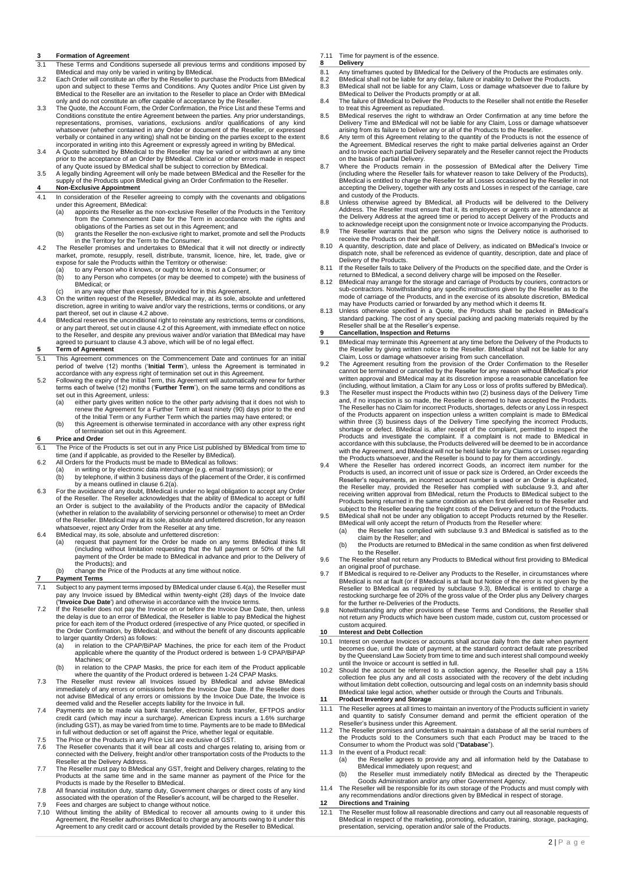# **3 Formation of Agreement**<br>**3.1 These Terms and Condition**

- These Terms and Conditions supersede all previous terms and conditions imposed by
- BMedical and may only be varied in writing by BMedical. 3.2 Each Order will constitute an offer by the Reseller to purchase the Products from BMedical upon and subject to these Terms and Conditions. Any Quotes and/or Price List given by<br>BMedical to the Reseller are an invitation to the Reseller to place an Order with BMedical<br>only and do not constitute an offer capable o
- 3.3 The Quote, the Account Form, the Order Confirmation, the Price List and these Terms and Conditions constitute the entire Agreement between the parties. Any prior understandings, representations, promises, variations, exclusions and/or qualifications of any kind whatsoever (whether contained in any Order or document of the Reseller, or expressed verbally or contained in any writing) shall not be binding on the parties except to the extent incorporated in writing into this Agreement or expressly agreed in writing by BMedical.
- 3.4 A Quote submitted by BMedical to the Reseller may be varied or withdrawn at any time prior to the acceptance of an Order by BMedical. Clerical or other errors made in respect of any Quote issued by BMedical shall be subject to correction by BMedical.
- 3.5 A legally binding Agreement will only be made between BMedical and the Reseller for the supply of the Products upon BMedical giving an Order Confirmation to the Reseller.

# **4 Non-Exclusive Appointment**

- 4.1 In consideration of the Reseller agreeing to comply with the covenants and obligations under this Agreement, BMedical:<br>(a) appoints the Reseller as the
	- appoints the Reseller as the non-exclusive Reseller of the Products in the Territory from the Commencement Date for the Term in accordance with the rights and obligations of the Parties as set out in this Agreement; and
- b) grants the Reseller the non-exclusive right to market, promote and sell the Products)<br>in the Territory for the Term to the Consumer.<br>4.2 The Reseller promises and undertakes to BMedical that it will not directly or indi
- market, promote, resupply, resell, distribute, transmit, licence, hire, let, trade, give or expose for sale the Products within the Territory or otherwise:
	-
	- (a) to any Person who it knows, or ought to know, is not a Consumer; or<br>(b) to any Person who competes (or may be deemed to compete) with the business of BMedical; or
	- Entertow, 2.
- 4.3 On the written request of the Reseller, BMedical may, at its sole, absolute and unfettered discretion, agree in writing to waive and/or vary the restrictions, terms or conditions, or any part thereof, set out in clause 4.2 above.
- 4.4 BMedical reserves the unconditional right to reinstate any restrictions, terms or conditions, or any part thereof, set out in clause 4.2 of this Agreement, with immediate effect on notice to the Reseller, and despite any previous waiver and/or variation that BMedical may have
- agreed to pursuant to clause 4.3 above, which will be of no legal effect. **5 Term of Agreement**
- 5.1 This Agreement commences on the Commencement Date and continues for an initial period of twelve (12) months ('**Initial Term**'), unless the Agreement is terminated in
- accordance with any express right of termination set out in this Agreement. 5.2 Following the expiry of the Initial Term, this Agreement will automatically renew for further terms each of twelve (12) months ('**Further Term**'), on the same terms and conditions as set out in this Agreement, unless:<br>(a) either party gives written n
	- (a) either party gives written notice to the other party advising that it does not wish to renew the Agreement for a Further Term at least ninety (90) days prior to the end of the Initial Term or any Further Term which the parties may have entered; or
	- (b) this Agreement is otherwise terminated in accordance with any other express right of termination set out in this Agreement. **6 Price and Order**

# 6.1 The Price of the Products is set out in any Price List published by BMedical from time to

- time (and if applicable, as provided to the Reseller by BMedical). 6.2 All Orders for the Products must be made to BMedical as follows:
	-
- (a) in writing or by electronic data interchange (e.g. email transmission); or (b) by telephone, if within 3 business days of the placement of the Order, it (b) by telephone, if within 3 business days of the placement of the Order, it is confirmed by telephone, if within 3 business days of the placement of the Order, it is confirmed. by a means outlined in clause 6.2(a).
- 6.3 For the avoidance of any doubt, BMedical is under no legal obligation to accept any Order of the Reseller. The Reseller acknowledges that the ability of BMedical to accept or fulfil an Order is subject to the availability of the Products and/or the capacity of BMedical (whether in relation to the availability of servicing personnel or otherwise) to meet an Order of the Reseller. BMedical may at its sole, absolute and unfettered discretion, for any reason whatsoever, reject any Order from the Reseller at any time.
- 6.4 BMedical may, its sole, absolute and unfettered discretion:
	- request that payment for the Order be made on any terms BMedical thinks fit (including without limitation requesting that the full payment or 50% of the full payment of the Order be made to BMedical in advance and prior to the Delivery of the Products); and
- (b) change the Price of the Products at any time without notice

#### **7 Payment Terms**

- 7.1 Subject to any payment terms imposed by BMedical under clause 6.4(a), the Reseller must pay any Invoice issued by BMedical within twenty-eight (28) days of the Invoice date (**'Invoice Due Date**') and otherwise in accordance with the Invoice terms.
- 7.2 If the Reseller does not pay the Invoice on or before the Invoice Due Date, then, unless the delay is due to an error of BMedical, the Reseller is liable to pay BMedical the highest price for each item of the Product ordered (irrespective of any Price quoted, or specified in the Order Confirmation, by BMedical, and without the benefit of any discounts applicable
	- to larger quantity Orders) as follows: (a) in relation to the CPAP/BiPAP Machines, the price for each item of the Product applicable where the quantity of the Product ordered is between 1-9 CPAP/BiPAP Machines; or
	- (b) in relation to the CPAP Masks, the price for each item of the Product applicable where the quantity of the Product ordered is between 1-24 CPAP Masks.
- 7.3 The Reseller must review all Invoices issued by BMedical and advise BMedical immediately of any errors or omissions before the Invoice Due Date. If the Reseller does not advise BMedical of any errors or omissions by the Invoice Due Date, the Invoice is deemed valid and the Reseller accepts liability for the Invoice in full.
- 7.4 Payments are to be made via bank transfer, electronic funds transfer, EFTPOS and/or credit card (which may incur a surcharge). American Express incurs a 1.6% surcharge (including GST), as may be varied from time to time. Payments are to be made to BMedical in full without deduction or set off against the Price, whether legal or equitable. 7.5 The Price or the Products in any Price List are exclusive of GST.
- 7.6 The Reseller covenants that it will bear all costs and charges relating to, arising from or connected with the Delivery, freight and/or other transportation costs of the Products to the Reseller at the Delivery Address.
- 7.7 The Reseller must pay to BMedical any GST, freight and Delivery charges, relating to the Products at the same time and in the same manner as payment of the Price for the Products is made by the Reseller to BMedical.
- 7.8 All financial institution duty, stamp duty, Government charges or direct costs of any kind<br>associated with the operation of the Reseller's account, will be charged to the Reseller.<br>7.9 Fees and charges are subject to c
- 7.10 Without limiting the ability of BMedical to recover all amounts owing to it under this Agreement, the Reseller authorises BMedical to charge any amounts owing to it under this Agreement to any credit card or account details provided by the Reseller to BMedical.
- 7.11 Time for payment is of the essence.<br>8 **Delivery 8 Delivery**
- 
- 8.1 Any timeframes quoted by BMedical for the Delivery of the Products are estimates only.<br>8.2 BMedical shall not be liable for any delay, failure or inability to Deliver the Products.
- 8.2 BMedical shall not be liable for any delay, failure or inability to Deliver the Products. 8.3 BMedical shall not be liable for any Claim, Loss or damage whatsoever due to failure by
- BMedical to Deliver the Products promptly or at all. 8.4 The failure of BMedical to Deliver the Products to the Reseller shall not entitle the Reseller
- to treat this Agreement as repudiated. 8.5 BMedical reserves the right to withdraw an Order Confirmation at any time before the Delivery Time and BMedical will not be liable for any Claim, Loss or damage whatsoever arising from its failure to Deliver any or all of the Products to the Reseller.
- 8.6 Any term of this Agreement relating to the quantity of the Products is not the essence of the Agreement. BMedical reserves the right to make partial deliveries against an Order
- and to Invoice each partial Delivery separately and the Reseller cannot reject the Products<br>on the basis of partial Delivery.<br>8.7 Where the Products remain in the possession of BMedical after the Delivery Time<br>(including w BMedical is entitled to charge the Reseller for all Losses occasioned by the Reseller in not accepting the Delivery, together with any costs and Losses in respect of the carriage, care and custody of the Products.
- 8.8 Unless otherwise agreed by BMedical, all Products will be delivered to the Delivery Address. The Reseller must ensure that it, its employees or agents are in attendance at the Delivery Address at the agreed time or period to accept Delivery of the Products and to acknowledge receipt upon the consignment note or Invoice accompanying the Products.
- 8.9 The Reseller warrants that the person who signs the Delivery notice is authorised to receive the Products on their behalf.
- 8.10 A quantity, description, date and place of Delivery, as indicated on BMedical's Invoice or dispatch note, shall be referenced as evidence of quantity, description, date and place of Delivery of the Products.
- 8.11 If the Reseller fails to take Delivery of the Products on the specified date, and the Order is returned to BMedical, a second delivery charge will be imposed on the Reseller. 8.12 BMedical may arrange for the storage and carriage of Products by couriers, contractors or
- sub-contractors. Notwithstanding any specific instructions given by the Reseller as to the mode of carriage of the Products, and in the exercise of its absolute discretion, BMedical may have Products carried or forwarded b
- Reseller shall be at the Reseller's expense.

#### **9 Cancellation, Inspection and Returns**

- 9.1 BMedical may terminate this Agreement at any time before the Delivery of the Products to the Reseller by giving written notice to the Reseller. BMedical shall not be liable for any Claim, Loss or damage whatsoever arising from such cancellation.
- 9.2 The Agreement resulting from the provision of the Order Confirmation to the Reseller cannot be terminated or cancelled by the Reseller for any reason without BMedical's prior written approval and BMedical may at its discretion impose a reasonable cancellation fee (including, without limitation, a Claim for any Loss or loss of profits suffered by BMedical).
- 9.3 The Reseller must inspect the Products within two (2) business days of the Delivery Time and, if no inspection is so made, the Reseller is deemed to have accepted the Products. The Reseller has no Claim for incorrect Products, shortages, defects or any Loss in respect of the Products apparent on inspection unless a written complaint is made to BMedical within three (3) business days of the Delivery Time specifying the incorrect Products, shortage or defect. BMedical is, after receipt of the complaint, permitted to inspect the Products and investigate the complaint. If a complaint is not made to BMedical in accordance with this subclause, the Products delivered will be deemed to be in accordance with the Agreement, and BMedical will not be held liable for any Claims or Losses regarding
- the Products whatsoever, and the Reseller is bound to pay for them accordingly.<br>9.4 Where the Reseller has ordered incorrect Goods, an incorrect item number for the<br>Products is used, an incorrect unit of issue or pack Reseller's requirements, an incorrect account number is used or an Order is duplicated, the Reseller may, provided the Reseller has complied with subclause 9.3, and after receiving written approval from BMedical, return the Products to BMedical subject to the Products being returned in the same condition as when first delivered to the Reseller and subject to the Reseller bearing the freight costs of the Delivery and return of the Products. 9.5 BMedical shall not be under any obligation to accept Products returned by the Reseller.
- BMedical will only accept the return of Products from the Reseller where: (a) the Reseller has complied with subclause 9.3 and BMedical is satisfied as to the
	- claim by the Reseller; and (b) the Products are returned to BMedical in the same condition as when first delivered
- to the Reseller. 9.6 The Reseller shall not return any Products to BMedical without first providing to BMedical an original proof of purchase
- 9.7 If BMedical is required to re-Deliver any Products to the Reseller, in circumstances where BMedical is not at fault (or if BMedical is at fault but Notice of the error is not given by the Reseller to BMedical as required by subclause 9.3), BMedical is entitled to charge a restocking surcharge fee of 20% of the gross value of the Order plus any Delivery charges
- for the further re-Deliveries of the Products. 9.8 Notwithstanding any other provisions of these Terms and Conditions, the Reseller shall not return any Products which have been custom made, custom cut, custom processed or custom acquired.

#### **10 Interest and Debt Collection**

- 10.1 Interest on overdue Invoices or accounts shall accrue daily from the date when payment becomes due, until the date of payment, at the standard contract default rate prescribed by the Queensland Law Society from time to time and such interest shall compound weekly until the Invoice or account is settled in full.
- 10.2 Should the account be referred to a collection agency, the Reseller shall pay a 15% collection fee plus any and all costs associated with the recovery of the debt including without limitation debt collection, outsourcing and legal costs on an indemnity basis should BMedical take legal action, whether outside or through the Courts and Tribunals. **11 Product Inventory and Storage**

- 11.1 The Reseller agrees at all times to maintain an inventory of the Products sufficient in variety and quantity to satisfy Consumer demand and permit the efficient operation of the
- Reseller's business under this Agreement. 11.2 The Reseller promises and undertakes to maintain a database of all the serial numbers of the Products sold to the Consumers such that each Product may be traced to the Consumer to whom the Product was sold ("**Database**").
- 11.3 In the event of a Product recall:<br>(a) the Reseller agrees to p
	- (a) the Reseller agrees to provide any and all information held by the Database to BMedical immediately upon request; and
- (b) the Reseller must immediately notify BMedical as directed by the Therapeutic Goods Administration and/or any other Government Agency. 11.4 The Reseller will be responsible for its own storage of the Products and must comply with
- any recommendations and/or directions given by BMedical in respect of storage.

## **12 Directions and Training**

12.1 The Reseller must follow all reasonable directions and carry out all reasonable requests of BMedical in respect of the marketing, promoting, education, training, storage, packaging, presentation, servicing, operation and/or sale of the Products.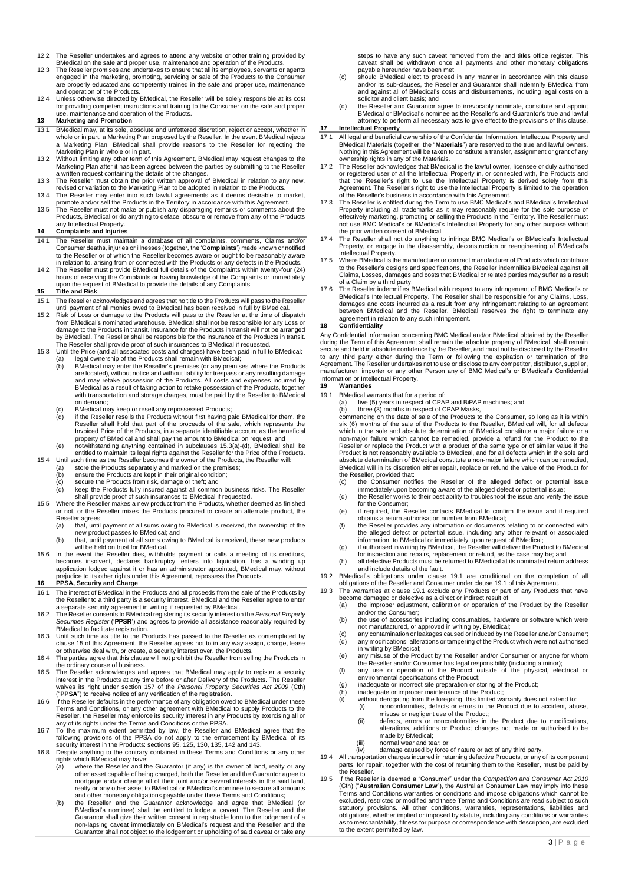- 12.2 The Reseller undertakes and agrees to attend any website or other training provided by BMedical on the safe and proper use, maintenance and operation of the Products.
- 12.3 The Reseller promises and undertakes to ensure that all its employees, servants or agents engaged in the marketing, promoting, servicing or sale of the Products to the Consumer are properly educated and competently tr
- 12.4 Unless otherwise directed by BMedical, the Reseller will be solely responsible at its cost for providing competent instructions and training to the Consumer on the safe and proper use, maintenance and operation of the Products.

# **13 Marketing and Promotion**

- 13.1 BMedical may, at its sole, absolute and unfettered discretion, reject or accept, whether in whole or in part, a Marketing Plan proposed by the Reseller. In the event BMedical rejects a Marketing Plan, BMedical shall provide reasons to the Reseller for rejecting the
- Marketing Plan in whole or in part. 13.2 Without limiting any other term of this Agreement, BMedical may request changes to the Marketing Plan after it has been agreed between the parties by submitting to the Reseller a written request containing the details of the changes.
- 13.3 The Reseller must obtain the prior written approval of BMedical in relation to any new, revised or variation to the Marketing Plan to be adopted in relation to the Products.
- 13.4 The Reseller may enter into such lawful agreements as it deems desirable to market,
- promote and/or sell the Products in the Territory in accordance with this Agreement. 13.5 The Reseller must not make or publish any disparaging remarks or comments about the Products, BMedical or do anything to deface, obscure or remove from any of the Products any Intellectual Property.

#### **14 Complaints and Injuries**

- 14.1 The Reseller must maintain a database of all complaints, comments, Claims and/or Consumer deaths, injuries or illnesses (together, the '**Complaints**') made known or notified to the Reseller or of which the Reseller becomes aware or ought to be reasonably aware in relation to, arising from or connected with the Products or any defects in the Products.
- 14.2 The Reseller must provide BMedical full details of the Complaints within twenty-four (24) hours of receiving the Complaints or having knowledge of the Complaints or immediately upon the request of BMedical to provide the details of any Complaints.

#### **15 Title and Risk**

- 15.1 The Reseller acknowledges and agrees that no title to the Products will pass to the Reseller until payment of all monies owed to BMedical has been received in full by BMedical.
- 15.2 Risk of Loss or damage to the Products will pass to the Reseller at the time of dispatch from BMedical's nominated warehouse. BMedical shall not be responsible for any Loss or damage to the Products in transit. Insurance for the Products in transit will not be arranged by BMedical. The Reseller shall be responsible for the insurance of the Products in transit. The Reseller shall provide proof of such insurances to BMedical if requested.
- 
- 15.3 Until the Price (and all associated costs and charges) have been paid in full to BMedical:<br>
(a) legal ownership of the Products shall remain with BMedical;<br>
(b) BMedical may enter the Reseller's premises (or any premi BMedical as a result of taking action to retake possession of the Products, together with transportation and storage charges, must be paid by the Reseller to BMedical on demand;
	- (c) BMedical may keep or resell any repossessed Products;<br>(d) if the Reseller resells the Products without first having p
	- (d) if the Reseller resells the Products without first having paid BMedical for them, the Reseller shall hold that part of the proceeds of the sale, which represents the Invoiced Price of the Products, in a separate identifiable account as the beneficial<br>property of BMedical and shall pay the amount to BMedical on request; and<br>(e) notwithstanding anything contained in subclauses 15.3(a)-(d
- entitled to maintain its legal rights against the Reseller for the Price of the Products. 15.4 Until such time as the Reseller becomes the owner of the Products, the Reseller will:
	-
	- (a) store the Products separately and marked on the premises; (b) ensure the Products are kept in their original condition;
	-
	- (c) secure the Products from risk, damage or theft; and (d) keep the Products fully insured against all common business risks. The Reseller
- shall provide proof of such insurances to BMedical if requested. 15.5 Where the Reseller makes a new product from the Products, whether deemed as finished or not, or the Reseller mixes the Products procured to create an alternate product, the Reseller agrees:
	- (a) that, until payment of all sums owing to BMedical is received, the ownership of the new product passes to BMedical; and
- (b) that, until payment of all sums owing to BMedical is received, these new products will be held on trust for BMedical. 15.6 In the event the Reseller dies, withholds payment or calls a meeting of its creditors,
- becomes insolvent, declares bankruptcy, enters into liquidation, has a winding up application lodged against it or has an administrator appointed, BMedical may, without ejudice to its other rights under this Agreement, repossess the Products.

## **16 PPSA, Security and Charge**

- 16.1 The interest of BMedical in the Products and all proceeds from the sale of the Products by the Reseller to a third party is a security interest. BMedical and the Reseller agree to enter a separate security agreement in writing if requested by BMedical.
- 16.2 The Reseller consents to BMedical registering its security interest on the *Personal Property Securities Register* ('**PPSR**') and agrees to provide all assistance reasonably required by
- BMedical to facilitate registration. 16.3 Until such time as title to the Products has passed to the Reseller as contemplated by clause 15 of this Agreement, the Reseller agrees not to in any way assign, charge, lease or otherwise deal with, or create, a security interest over, the Products.
- 16.4 The parties agree that this clause will not prohibit the Reseller from selling the Products in
- the ordinary course of business.<br>16.5 The Reseller acknowledges and agrees that BMedical may apply to register a security<br>interest in the Products at any time before or after Delivery of the Products. The Reseller<br>waives i
- ("PPSA") to receive notice of any verification of the registration.<br>16.6 If the Reseller defaults in the performance of any obligation owed to BMedical under these<br>Terms and Conditions, or any other agreement with BMedical any of its rights under the Terms and Conditions or the PPSA.
- 16.7 To the maximum extent permitted by law, the Reseller and BMedical agree that the following provisions of the PPSA do not apply to the enforcement by BMedical of its security interest in the Products: sections 95, 125,
- - rights which BMedical may have: (a) where the Reseller and the Guarantor (if any) is the owner of land, realty or any other asset capable of being charged, both the Reseller and the Guarantor agree to mortgage and/or charge all of their joint and/or several interests in the said land, realty or any other asset to BMedical or BMedical's nominee to secure all amounts and other monetary obligations payable under these Terms and Conditions;
	- (b) the Reseller and the Guarantor acknowledge and agree that BMedical (or BMedical's nominee) shall be entitled to lodge a caveat. The Reseller and the Guarantor shall give their written consent in registrable form to the lodgement of a non-lapsing caveat immediately on BMedical's request and the Reseller and the Guarantor shall not object to the lodgement or upholding of said caveat or take any

steps to have any such caveat removed from the land titles office register. This caveat shall be withdrawn once all payments and other monetary obligations

- payable hereunder have been met; (c) should BMedical elect to proceed in any manner in accordance with this clause and/or its sub-clauses, the Reseller and Guarantor shall indemnify BMedical from and against all of BMedical's costs and disbursements, including legal costs on a solicitor and client basis; and
- (d) the Reseller and Guarantor agree to irrevocably nominate, constitute and appoint BMedical or BMedical's nominee as the Reseller's and Guarantor's true and lawful attorney to perform all necessary acts to give effect to the provisions of this clause.

# **17 Intellectual Property**

- 17.1 All legal and beneficial ownership of the Confidential Information, Intellectual Property and BMedical Materials (together, the "**Materials**") are reserved to the true and lawful owners. Nothing in this Agreement will be taken to constitute a transfer, assignment or grant of any ownership rights in any of the Materials.
- 17.2 The Reseller acknowledges that BMedical is the lawful owner, licensee or duly authorised or registered user of all the Intellectual Property in, or connected with, the Products and<br>that the Reseller's right to use the Intellectual Property is derived solely from this<br>Agreement. The Reseller's right to use the
- of the Reseller's business in accordance with this Agreement.<br>17.3 The Reseller is entitled during the Term to use BMC Medical's and BMedical's Intellectual<br>Property including all trademarks as it may reasonably require fo
- the prior written consent of BMedical. 17.4 The Reseller shall not do anything to infringe BMC Medical's or BMedical's Intellectual Property, or engage in the disassembly, deconstruction or reengineering of BMedical's Intellectual Property.
- 17.5 Where BMedical is the manufacturer or contract manufacturer of Products which contribute to the Reseller's designs and specifications, the Reseller indemnifies BMedical against all Claims, Losses, damages and costs that BMedical or related parties may suffer as a result of a Claim by a third party.
- 17.6 The Reseller indemnifies BMedical with respect to any infringement of BMC Medical's or BMedical's Intellectual Property. The Reseller shall be responsible for any Claims, Loss, damages and costs incurred as a result from any infringement relating to an agreement between BMedical and the Reseller. BMedical reserves the right to terminate any agreement in relation to any such infringement.

## **18 Confidentiality**

Any Confidential Information concerning BMC Medical and/or BMedical obtained by the Reseller during the Term of this Agreement shall remain the absolute property of BMedical, shall remain secure and held in absolute confidence by the Reseller, and must not be disclosed by the Reseller<br>to any third party either during the Term or following the expiration or termination of the<br>Agreement. The Re manufacturer, importer or any other Person any of BMC Medical's or BMedical's Confidential Information or Intellectual Property.

- **19 Warranties**
	- BMedical warrants that for a period of:
	- (a) five (5) years in respect of CPAP and BiPAP machines; and (b) three (3) months in respect of CPAP Masks,

commencing on the date of sale of the Products to the Consumer, so long as it is within six (6) months of the sale of the Products to the Reseller, BMedical will, for all defects which in the sole and absolute determination of BMedical constitute a major failure or a

non-major failure which cannot be remedied, provide a refund for the Product to the<br>Reseller or replace the Product with a product of the same type or of similar value if the<br>Product is not reasonably available to BMedical absolute determination of BMedical constitute a non-major failure which can be remedied, BMedical will in its discretion either repair, replace or refund the value of the Product for the Reseller, provided that:<br>(c) the Consumer notif

- (c) the Consumer notifies the Reseller of the alleged defect or potential issue immediately upon becoming aware of the alleged defect or potential issue;
- (d) the Reseller works to their best ability to troubleshoot the issue and verify the issue for the Consumer;
- (e) if required, the Reseller contacts BMedical to confirm the issue and if required obtains a return authorisation number from BMedical;
- 
- (f) the Reseller provides any information or documents relating to or connected with the alleged defect or potential issue, including any other relevant or associated information, to BMedicial or immediately upon request o
- (h) all defective Products must be returned to BMedical at its nominated return address and include details of the fault.
- 19.2 BMedical's obligations under clause 19.1 are conditional on the completion of all<br>obligations of the Reseller and Consumer under clause 19.1 of this Agreement.<br>19.3 The warranties at clause 19.1 exclude any Products o
	-
	- (a) the improper adjustment, calibration or operation of the Product by the Reseller and/or the Consumer; (b) the use of accessories including consumables, hardware or software which were
	- not manufactured, or approved in writing by, BMedical; (c) any contamination or leakages caused or induced by the Reseller and/or Consumer;
	- (d) any modifications, alterations or tampering of the Product which were not authorised in writing by BMedical;
	- (e) any misuse of the Product by the Reseller and/or Consumer or anyone for whom the Reseller and/or Consumer has legal responsibility (including a minor);
	- (f) any use or operation of the Product outside of the physical, electrical or environmental specifications of the Product;
	-
	-
	- (g) inadequate or incorrect site preparation or storing of the Product;<br>(h) inadequate or improper maintenance of the Product;<br>(i) without derogating from the foregoing, this limited warranty does not extend to: (i) nonconformities, defects or errors in the Product due to accident, abuse,
		- misuse or negligent use of the Product; (ii) defects, errors or nonconformities in the Product due to modifications, alterations, additions or Product changes not made or authorised to be made by BMedical;
		- (iii) normal wear and tear; or
		-
- (iv) damage caused by force of nature or act of any third party. 19.4 All transportation charges incurred in returning defective Products, or any of its component parts, for repair, together with the cost of returning them to the Reseller, must be paid by .<br>the Reseller
- 19.5 If the Reseller is deemed a "Consumer" under the *Competition and Consumer Act 2010*<br>Cth) ("Australian Consumer Law"), the Australian Consumer Law may imply into these<br>Terms and Conditions warranties or conditions and excluded, restricted or modified and these Terms and Conditions are read subject to such statutory provisions. All other conditions, warranties, representations, liabilities and obligations, whether implied or imposed by statute, including any conditions or warranties as to merchantability, fitness for purpose or correspondence with description, are excluded to the extent permitted by law.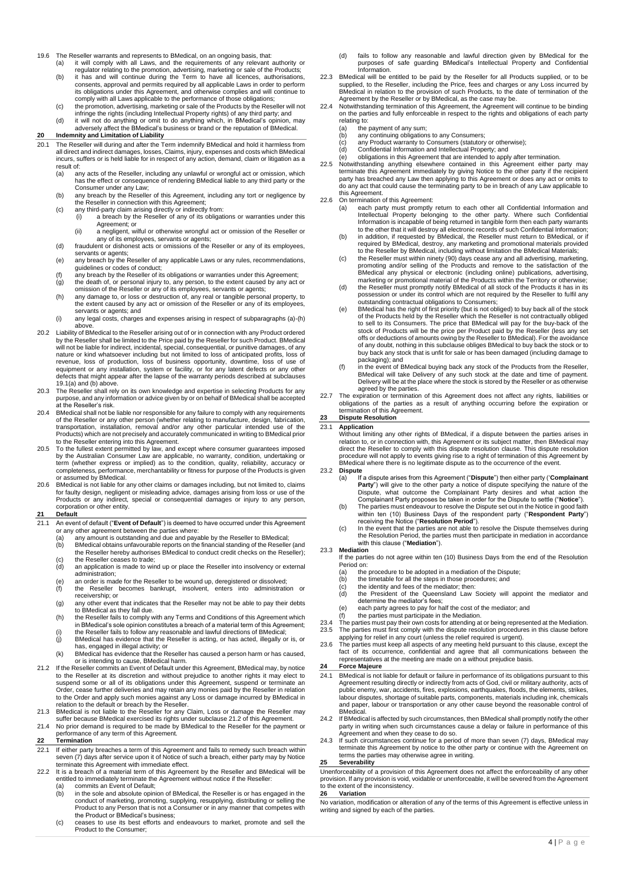19.6 The Reseller warrants and represents to BMedical, on an ongoing basis, that:<br>(a) it will comply with all Laws, and the requirements of any relevant

it will comply with all Laws, and the requirements of any relevant authority or

- regulator relating to the promotion, advertising, marketing or sale of the Products; (b) it has and will continue during the Term to have all licences, authorisations, consents, approval and permits required by all applicable Laws in order to perform its obligations under this Agreement, and otherwise complies and will continue to comply with all Laws applicable to the performance of those obligations;
- c) the promotion, advertising, marketing or sale of the Products by the Reseller will not<br>infringe the rights (including Intellectual Property rights) of any third party; and<br>(d) it will not do anything or omit to do anyth
- adversely affect the BMedical's business or brand or the reputation of BMedical.
- **20 Indemnity and Limitation of Liability**<br>20.1 The Reseller will during and after the Te The Reseller will during and after the Term indemnify BMedical and hold it harmless from all direct and indirect damages, losses, Claims, injury, expenses and costs which BMedical incurs, suffers or is held liable for in respect of any action, demand, claim or litigation as a
	- result of:<br>(a) ar any acts of the Reseller, including any unlawful or wrongful act or omission, which has the effect or consequence of rendering BMedical liable to any third party or the Consumer under any Law;
	- (b) any breach by the Reseller of this Agreement, including any tort or negligence by
	- the Reseller in connection with this Agreement; (c) any third-party claim arising directly or indirectly from:
		- (i) a breach by the Reseller of any of its obligations or warranties under this Agreement; or
	- (ii) a negligent, wilful or otherwise wrongful act or omission of the Reseller or any of its employees, servants or agents; (d) fraudulent or dishonest acts or omissions of the Reseller or any of its employees,
	- servants or agents; (e) any breach by the Reseller of any applicable Laws or any rules, recommendations,
	- guidelines or codes of conduct; (f) any breach by the Reseller of its obligations or warranties under this Agreement;
	- (g) the death of, or personal injury to, any person, to the extent caused by any act or
	- omission of the Reseller or any of its employees, servants or agents;<br>(h) any damage to, or loss or destruction of, any real or tangible personal property, to<br>the extent caused by any act or omission of the Reseller or any
	- servants or agents; and (i) any legal costs, charges and expenses arising in respect of subparagraphs (a)-(h) above.
- 20.2 Liability of BMedical to the Reseller arising out of or in connection with any Product ordered by the Reseller shall be limited to the Price paid by the Reseller for such Product. BMedical<br>will not be liable for indirect, incidental, special, consequential, or punitive damages, of any<br>nature or kind whatsoever inclu revenue, loss of production, loss of business opportunity, downtime, loss of use of<br>equipment or any installation, system or facility, or for any latent defects or any other<br>defects that might appear after the lapse of the 19.1(a) and (b) above
- 20.3 The Reseller shall rely on its own knowledge and expertise in selecting Products for any purpose, and any information or advice given by or on behalf of BMedical shall be accepted at the Reseller's risk.
- 20.4 BMedical shall not be liable nor responsible for any failure to comply with any requirements of the Reseller or any other person (whether relating to manufacture, design, fabrication, transportation, installation, removal and/or any other particular intended use of the Products) which are not precisely and accurately communicated in writing to BMedical prior to the Reseller entering into this Agreement.
- 20.5 To the fullest extent permitted by law, and except where consumer guarantees imposed<br>by the Australian Consumer Law are applicable, no warranty, condition, undertaking or<br>term (whether express or implied) as to the co completeness, performance, merchantability or fitness for purpose of the Products is given or assumed by BMedical.
- 20.6 BMedical is not liable for any other claims or damages including, but not limited to, claims for faulty design, negligent or misleading advice, damages arising from loss or use of the Products or any indirect, special or consequential damages or injury to any person, corporation or other entity.

#### **21 Default**

- 21.1 An event of default ("**Event of Default**") is deemed to have occurred under this Agreement or any other agreement between the parties where:
	- (a) any amount is outstanding and due and payable by the Reseller to BMedical; (b) BMedical obtains unfavourable reports on the financial standing of the Reseller (and
	- the Reseller hereby authorises BMedical to conduct credit checks on the Reseller);
	- (c) the Reseller ceases to trade<br>(d) an application is made to wi an application is made to wind up or place the Reseller into insolvency or external
	- administration; (e) an order is made for the Reseller to be wound up, deregistered or dissolved;
	- $(f)$  the Reseller becomes bankrupt, insolvent, enters into administration receivership; or
	- (g) any other event that indicates that the Reseller may not be able to pay their debts to BMedical as they fall due.
	- (h) the Reseller fails to comply with any Terms and Conditions of this Agreement which in BMedical's sole opinion constitutes a breach of a material term of this Agreement;
	- (i) the Reseller fails to follow any reasonable and lawful directions of BMedical; (j) BMedical has evidence that the Reseller is acting, or has acted, illegally or is, or has, engaged in illegal activity; or
	- (k) BMedical has evidence that the Reseller has caused a person harm or has caused, or is intending to cause, BMedical harm.
- 21.2 If the Reseller commits an Event of Default under this Agreement, BMedical may, by notice to the Reseller at its discretion and without prejudice to another rights it may elect to suspend some or all of its obligations under this Agreement, suspend or terminate an Order, cease further deliveries and may retain any monies paid by the Reseller in relation to the Order and apply such monies against any Loss or damage incurred by BMedical in<br>relation to the default or breach by the Reseller.<br>21.3 BMedical is not liable to the Reseller for any Claim, Loss or damage the Reselle
- 
- 21.4 No prior demand is required to be made by BMedical to the Reseller for the payment or performance of any term of this Agreement.

### **22 Termination**

- 22.1 If either party breaches a term of this Agreement and fails to remedy such breach within seven (7) days after service upon it of Notice of such a breach, either party may by Notice terminate this Agreement with immediate effect.
- 22.2 It is a breach of a material term of this Agreement by the Reseller and BMedical will be entitled to immediately terminate the Agreement without notice if the Reseller: (a) commits an Event of Default;
	- (b) in the sole and absolute opinion of BMedical, the Reseller is or has engaged in the<br>conduct of marketing, promoting, supplying, resupplying, distributing or selling the<br>Product to any Person that is not a Consumer or i the Product or BMedical's business;
	- (c) ceases to use its best efforts and endeavours to market, promote and sell the Product to the Consumer;
- (d) fails to follow any reasonable and lawful direction given by BMedical for the purposes of safe guarding BMedical's Intellectual Property and Confidential Information.
- 22.3 BMedical will be entitled to be paid by the Reseller for all Products supplied, or to be supplied, to the Reseller, including the Price, fees and charges or any Loss incurred by BMedical in relation to the provision of such Products, to the date of termination of the
- Agreement by the Reseller or by BMedical, as the case may be. 22.4 Notwithstanding termination of this Agreement, the Agreement will continue to be binding on the parties and fully enforceable in respect to the rights and obligations of each party relating to:
	- (a) the payment of any sum;<br>(b) any continuing obligation
	- (b) any continuing obligations to any Consumers;<br>(c) any Product warranty to Consumers (statutory
	-
	- (c) any Product warranty to Consumers (statutory or otherwise); (d) Confidential Information and Intellectual Property; and (e) obligations in this Agreement that are intended to apply after termination.
- 22.5 Notwithstanding anything elsewhere contained in this Agreement either party may terminate this Agreement immediately by giving Notice to the other party if the recipient party has breached any Law then applying to this Agreement or does any act or omits to do any act that could cause the terminating party to be in breach of any Law applicable to this Agreement.
- 22.6 On termination of this Agreement:<br>(a) each party must promptly
	- a) each party must promptly return to each other all Confidential Information and<br>Intellectual Property belonging to the other party. Where such Confidential<br>Information is incapable of being returned in tangible form then to the other that it will destroy all electronic records of such Confidential Information;
	- (b) in addition, if requested by BMedical, the Reseller must return to BMedical, or if<br>required by BMedical, destroy, any marketing and promotional materials provided<br>to the Reseller by BMedical, including without limitati
	- (c) the Reseller must within ninety (90) days cease any and all advertising, marketing, promoting and/or selling of the Products and remove to the satisfaction of the BMedical any physical or electronic (including online) publications, advertising, marketing or promotional material of the Products within the Territory or otherwise;
	- (d) the Reseller must promptly notify BMedical of all stock of the Products it has in its possession or under its control which are not required by the Reseller to fulfil any outstanding contractual obligations to Consumers;
	- (e) BMedical has the right of first priority (but is not obliged) to buy back all of the stock of the Products held by the Reseller which the Reseller is not contractually obliged to sell to its Consumers. The price that BMedical will pay for the buy-back of the<br>stock of Products will be the price per Product paid by the Reseller (less any set<br>offs or deductions of amounts owing by the Reseller to B buy back any stock that is unfit for sale or has been damaged (including damage to packaging); and
	- (f) in the event of BMedical buying back any stock of the Products from the Reseller, BMedical will take Delivery of any such stock at the date and time of payment. Delivery will be at the place where the stock is stored by the Reseller or as otherwise agreed by the parties.
- 22.7 The expiration or termination of this Agreement does not affect any rights, liabilities or obligations of the parties as a result of anything occurring before the expiration or termination of this Agreement.

### **23 Dispute Resolution**

#### 23.1 **Application**

Without limiting any other rights of BMedical, if a dispute between the parties arises in<br>relation to, or in connection with, this Agreement or its subject matter, then BMedical may<br>direct the Reseller to comply with this 23.2 **Dispute**

- (a) If a dispute arises from this Agreement ("**Dispute**") then either party ('**Complainant Party**") will give to the other party a notice of dispute specifying the nature of the Dispute, what outcome the Complainant Party desires and what action the
- Complainant Party proposes be taken in order for the Dispute to settle ("**Notice**"). (b) The parties must endeavour to resolve the Dispute set out in the Notice in good faith within ten (10) Business Days of the respondent party ("**Respondent Party**") receiving the Notice ("**Resolution Period**").
- (c) In the event that the parties are not able to resolve the Dispute themselves during the Resolution Period, the parties must then participate in mediation in accordance with this clause ("**Mediation**").

#### 23.3 **Mediation**

- If the parties do not agree within ten (10) Business Days from the end of the Resolution Period on:
	- (a) the procedure to be adopted in a mediation of the Dispute;<br>(b) the timetable for all the steps in those procedures; and
	- (b) the timetable for all the steps in those procedures; and (c) the identity and fees of the mediator; then:
- - (d) the President of the Queensland Law Society will appoint the mediator and determine the mediator's fees;
	- (e) each party agrees to pay for half the cost of the mediator; and (f) the parties must participate in the Mediation.
	-
- 23.4 The parties must pay their own costs for attending at or being represented at the Mediation.<br>23.5 The parties must first comply with the dispute resolution procedures in this clause before 23.5 The parties must first comply with the dispute resolution procedures in this clause before applying for relief in any court (unless the relief required is urgent).
- 23.6 The parties must keep all aspects of any meeting held pursuant to this clause, except the fact of its occurrence, confidential and agree that all communications between the representatives at the meeting are made on a without prejudice basis.

# **24 Force Majeure**

- 24.1 BMedical is not liable for default or failure in performance of its obligations pursuant to this Agreement resulting directly or indirectly from acts of God, civil or military authority, acts of public enemy, war, accidents, fires, explosions, earthquakes, floods, the elements, strikes, labour disputes, shortage of suitable parts, components, materials including ink, chemicals and paper, labour or transportation or any other cause beyond the reasonable control of BMedical.
- 24.2 If BMedical is affected by such circumstances, then BMedical shall promptly notify the other party in writing when such circumstances cause a delay or failure in performance of this Agreement and when they cease to do so. 24.3 If such circumstances continue for a period of more than seven (7) days, BMedical may
- terminate this Agreement by notice to the other party or continue with the Agreement on terms the parties may otherwise agree in writing.

# **25 Severability**

Unenforceability of a provision of this Agreement does not affect the enforceability of any other provision. If any provision is void, voidable or unenforceable, it will be severed from the Agreement to the extent of the inconsistency. **26 Variation**

#### No variation, modification or alteration of any of the terms of this Agreement is effective unless in writing and signed by each of the parties.